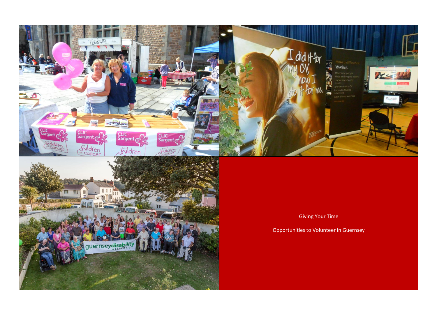



Giving Your Time

Opportunities to Volunteer in Guernsey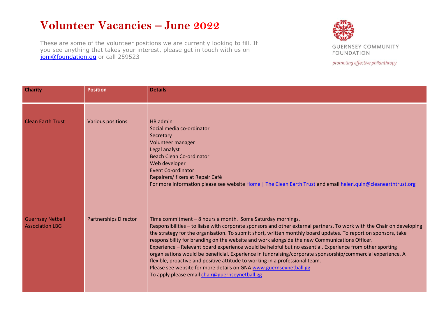# **Volunteer Vacancies – June 2022**

These are some of the volunteer positions we are currently looking to fill. If you see anything that takes your interest, please get in touch with us on [joni@foundation.gg](mailto:joni@foundation.gg) or call 259523



promoting effective philanthropy

| <b>Charity</b>                                    | <b>Position</b>              | <b>Details</b>                                                                                                                                                                                                                                                                                                                                                                                                                                                                                                                                                                                                                                                                                                                                                                                                                            |
|---------------------------------------------------|------------------------------|-------------------------------------------------------------------------------------------------------------------------------------------------------------------------------------------------------------------------------------------------------------------------------------------------------------------------------------------------------------------------------------------------------------------------------------------------------------------------------------------------------------------------------------------------------------------------------------------------------------------------------------------------------------------------------------------------------------------------------------------------------------------------------------------------------------------------------------------|
|                                                   |                              |                                                                                                                                                                                                                                                                                                                                                                                                                                                                                                                                                                                                                                                                                                                                                                                                                                           |
| <b>Clean Earth Trust</b>                          | <b>Various positions</b>     | HR admin<br>Social media co-ordinator<br>Secretary<br>Volunteer manager<br>Legal analyst<br><b>Beach Clean Co-ordinator</b><br>Web developer<br><b>Event Co-ordinator</b><br>Repairers/ fixers at Repair Café<br>For more information please see website Home   The Clean Earth Trust and email helen.quin@cleanearthtrust.org                                                                                                                                                                                                                                                                                                                                                                                                                                                                                                            |
| <b>Guernsey Netball</b><br><b>Association LBG</b> | <b>Partnerships Director</b> | Time commitment - 8 hours a month. Some Saturday mornings.<br>Responsibilities - to liaise with corporate sponsors and other external partners. To work with the Chair on developing<br>the strategy for the organisation. To submit short, written monthly board updates. To report on sponsors, take<br>responsibility for branding on the website and work alongside the new Communications Officer.<br>Experience - Relevant board experience would be helpful but no essential. Experience from other sporting<br>organisations would be beneficial. Experience in fundraising/corporate sponsorship/commercial experience. A<br>flexible, proactive and positive attitude to working in a professional team.<br>Please see website for more details on GNA www.guernseynetball.gg<br>To apply please email chair@guernseynetball.gg |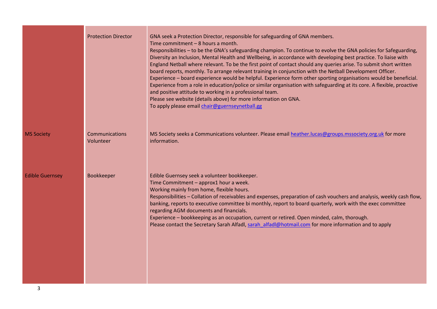|                        | <b>Protection Director</b>  | GNA seek a Protection Director, responsible for safeguarding of GNA members.<br>Time commitment - 8 hours a month.<br>Responsibilities - to be the GNA's safeguarding champion. To continue to evolve the GNA policies for Safeguarding,<br>Diversity an Inclusion, Mental Health and Wellbeing, in accordance with developing best practice. To liaise with<br>England Netball where relevant. To be the first point of contact should any queries arise. To submit short written<br>board reports, monthly. To arrange relevant training in conjunction with the Netball Development Officer.<br>Experience - board experience would be helpful. Experience form other sporting organisations would be beneficial.<br>Experience from a role in education/police or similar organisation with safeguarding at its core. A flexible, proactive<br>and positive attitude to working in a professional team.<br>Please see website (details above) for more information on GNA.<br>To apply please email chair@guernseynetball.gg |
|------------------------|-----------------------------|----------------------------------------------------------------------------------------------------------------------------------------------------------------------------------------------------------------------------------------------------------------------------------------------------------------------------------------------------------------------------------------------------------------------------------------------------------------------------------------------------------------------------------------------------------------------------------------------------------------------------------------------------------------------------------------------------------------------------------------------------------------------------------------------------------------------------------------------------------------------------------------------------------------------------------------------------------------------------------------------------------------------------------|
| <b>MS Society</b>      | Communications<br>Volunteer | MS Society seeks a Communications volunteer. Please email heather.lucas@groups.mssociety.org.uk for more<br>information.                                                                                                                                                                                                                                                                                                                                                                                                                                                                                                                                                                                                                                                                                                                                                                                                                                                                                                         |
| <b>Edible Guernsey</b> | Bookkeeper                  | Edible Guernsey seek a volunteer bookkeeper.<br>Time Commitment - approx1 hour a week.<br>Working mainly from home, flexible hours.<br>Responsibilities - Collation of receivables and expenses, preparation of cash vouchers and analysis, weekly cash flow,<br>banking, reports to executive committee bi monthly, report to board quarterly, work with the exec committee<br>regarding AGM documents and financials.<br>Experience - bookkeeping as an occupation, current or retired. Open minded, calm, thorough.<br>Please contact the Secretary Sarah Alfadl, sarah alfadl@hotmail.com for more information and to apply                                                                                                                                                                                                                                                                                                                                                                                                  |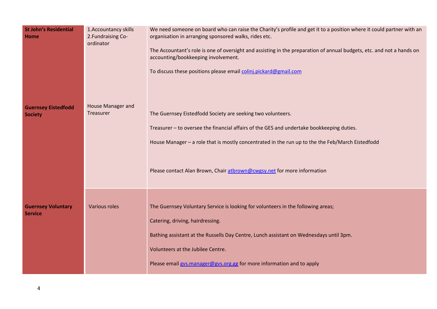| <b>St John's Residential</b><br><b>Home</b>  | 1. Accountancy skills<br>2. Fundraising Co-<br>ordinator | We need someone on board who can raise the Charity's profile and get it to a position where it could partner with an<br>organisation in arranging sponsored walks, rides etc.<br>The Accountant's role is one of oversight and assisting in the preparation of annual budgets, etc. and not a hands on<br>accounting/bookkeeping involvement.<br>To discuss these positions please email colinj.pickard@gmail.com |
|----------------------------------------------|----------------------------------------------------------|-------------------------------------------------------------------------------------------------------------------------------------------------------------------------------------------------------------------------------------------------------------------------------------------------------------------------------------------------------------------------------------------------------------------|
| <b>Guernsey Eistedfodd</b><br><b>Society</b> | House Manager and<br>Treasurer                           | The Guernsey Eistedfodd Society are seeking two volunteers.<br>Treasurer - to oversee the financial affairs of the GES and undertake bookkeeping duties.<br>House Manager - a role that is mostly concentrated in the run up to the the Feb/March Eistedfodd<br>Please contact Alan Brown, Chair atbrown@cwgsy.net for more information                                                                           |
| <b>Guernsey Voluntary</b><br><b>Service</b>  | Various roles                                            | The Guernsey Voluntary Service is looking for volunteers in the following areas;<br>Catering, driving, hairdressing.<br>Bathing assistant at the Russells Day Centre, Lunch assistant on Wednesdays until 3pm.<br>Volunteers at the Jubilee Centre.<br>Please email gvs.manager@gvs.org.gg for more information and to apply                                                                                      |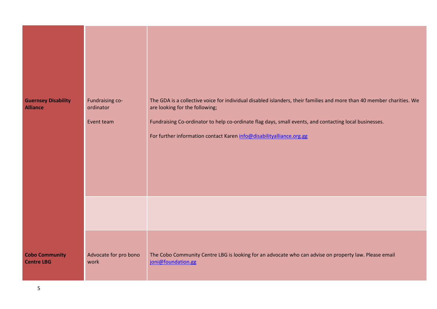| <b>Guernsey Disability</b><br><b>Alliance</b> | Fundraising co-<br>ordinator<br>Event team | The GDA is a collective voice for individual disabled islanders, their families and more than 40 member charities. We<br>are looking for the following;<br>Fundraising Co-ordinator to help co-ordinate flag days, small events, and contacting local businesses.<br>For further information contact Karen info@disabilityalliance.org.gg |
|-----------------------------------------------|--------------------------------------------|-------------------------------------------------------------------------------------------------------------------------------------------------------------------------------------------------------------------------------------------------------------------------------------------------------------------------------------------|
|                                               |                                            |                                                                                                                                                                                                                                                                                                                                           |
| <b>Cobo Community</b><br><b>Centre LBG</b>    | Advocate for pro bono<br>work              | The Cobo Community Centre LBG is looking for an advocate who can advise on property law. Please email<br>joni@foundation.gg                                                                                                                                                                                                               |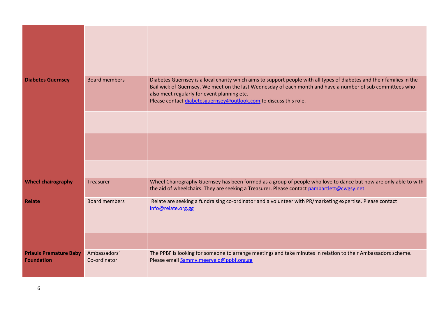| <b>Diabetes Guernsey</b>                           | <b>Board members</b>         | Diabetes Guernsey is a local charity which aims to support people with all types of diabetes and their families in the<br>Bailiwick of Guernsey. We meet on the last Wednesday of each month and have a number of sub committees who<br>also meet regularly for event planning etc.<br>Please contact diabetesguernsey@outlook.com to discuss this role. |
|----------------------------------------------------|------------------------------|----------------------------------------------------------------------------------------------------------------------------------------------------------------------------------------------------------------------------------------------------------------------------------------------------------------------------------------------------------|
|                                                    |                              |                                                                                                                                                                                                                                                                                                                                                          |
|                                                    |                              |                                                                                                                                                                                                                                                                                                                                                          |
|                                                    |                              |                                                                                                                                                                                                                                                                                                                                                          |
| <b>Wheel chairography</b>                          | Treasurer                    | Wheel Chairography Guernsey has been formed as a group of people who love to dance but now are only able to with<br>the aid of wheelchairs. They are seeking a Treasurer. Please contact pambartlett@cwgsy.net                                                                                                                                           |
| <b>Relate</b>                                      | <b>Board members</b>         | Relate are seeking a fundraising co-ordinator and a volunteer with PR/marketing expertise. Please contact<br>info@relate.org.gg                                                                                                                                                                                                                          |
|                                                    |                              |                                                                                                                                                                                                                                                                                                                                                          |
| <b>Priaulx Premature Baby</b><br><b>Foundation</b> | Ambassadors'<br>Co-ordinator | The PPBF is looking for someone to arrange meetings and take minutes in relation to their Ambassadors scheme.<br>Please email Sammy.meerveld@ppbf.org.gg                                                                                                                                                                                                 |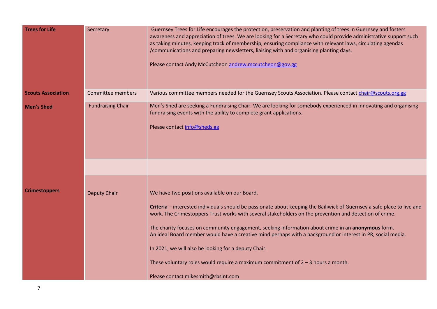| <b>Trees for Life</b>     | Secretary                | Guernsey Trees for Life encourages the protection, preservation and planting of trees in Guernsey and fosters<br>awareness and appreciation of trees. We are looking for a Secretary who could provide administrative support such<br>as taking minutes, keeping track of membership, ensuring compliance with relevant laws, circulating agendas<br>/communications and preparing newsletters, liaising with and organising planting days.<br>Please contact Andy McCutcheon andrew.mccutcheon@gov.gg                                                                                                                                                                                        |
|---------------------------|--------------------------|-----------------------------------------------------------------------------------------------------------------------------------------------------------------------------------------------------------------------------------------------------------------------------------------------------------------------------------------------------------------------------------------------------------------------------------------------------------------------------------------------------------------------------------------------------------------------------------------------------------------------------------------------------------------------------------------------|
| <b>Scouts Association</b> | Committee members        | Various committee members needed for the Guernsey Scouts Association. Please contact chair@scouts.org.gg                                                                                                                                                                                                                                                                                                                                                                                                                                                                                                                                                                                      |
| <b>Men's Shed</b>         | <b>Fundraising Chair</b> | Men's Shed are seeking a Fundraising Chair. We are looking for somebody experienced in innovating and organising<br>fundraising events with the ability to complete grant applications.<br>Please contact info@sheds.gg                                                                                                                                                                                                                                                                                                                                                                                                                                                                       |
|                           |                          |                                                                                                                                                                                                                                                                                                                                                                                                                                                                                                                                                                                                                                                                                               |
|                           |                          |                                                                                                                                                                                                                                                                                                                                                                                                                                                                                                                                                                                                                                                                                               |
| <b>Crimestoppers</b>      | <b>Deputy Chair</b>      | We have two positions available on our Board.<br>Criteria - interested individuals should be passionate about keeping the Bailiwick of Guernsey a safe place to live and<br>work. The Crimestoppers Trust works with several stakeholders on the prevention and detection of crime.<br>The charity focuses on community engagement, seeking information about crime in an anonymous form.<br>An ideal Board member would have a creative mind perhaps with a background or interest in PR, social media.<br>In 2021, we will also be looking for a deputy Chair.<br>These voluntary roles would require a maximum commitment of $2 - 3$ hours a month.<br>Please contact mikesmith@rbsint.com |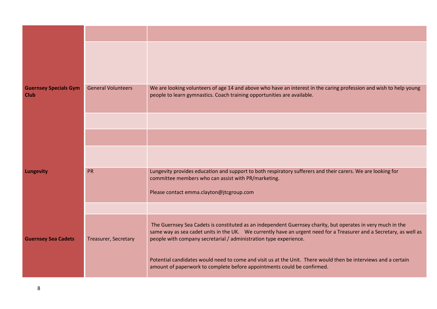| <b>Guernsey Specials Gym</b><br><b>Club</b> | <b>General Volunteers</b> | We are looking volunteers of age 14 and above who have an interest in the caring profession and wish to help young<br>people to learn gymnastics. Coach training opportunities are available.                                                                                                            |
|---------------------------------------------|---------------------------|----------------------------------------------------------------------------------------------------------------------------------------------------------------------------------------------------------------------------------------------------------------------------------------------------------|
|                                             |                           |                                                                                                                                                                                                                                                                                                          |
|                                             |                           |                                                                                                                                                                                                                                                                                                          |
|                                             |                           |                                                                                                                                                                                                                                                                                                          |
| <b>Lungevity</b>                            | <b>PR</b>                 | Lungevity provides education and support to both respiratory sufferers and their carers. We are looking for<br>committee members who can assist with PR/marketing.                                                                                                                                       |
|                                             |                           | Please contact emma.clayton@jtcgroup.com                                                                                                                                                                                                                                                                 |
|                                             |                           |                                                                                                                                                                                                                                                                                                          |
| <b>Guernsey Sea Cadets</b>                  | Treasurer, Secretary      | The Guernsey Sea Cadets is constituted as an independent Guernsey charity, but operates in very much in the<br>same way as sea cadet units in the UK.  We currently have an urgent need for a Treasurer and a Secretary, as well as<br>people with company secretarial / administration type experience. |
|                                             |                           | Potential candidates would need to come and visit us at the Unit. There would then be interviews and a certain<br>amount of paperwork to complete before appointments could be confirmed.                                                                                                                |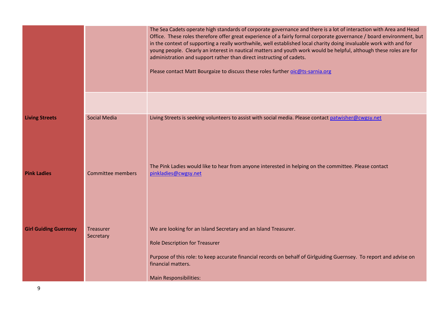|                              |                          | The Sea Cadets operate high standards of corporate governance and there is a lot of interaction with Area and Head<br>Office. These roles therefore offer great experience of a fairly formal corporate governance / board environment, but<br>in the context of supporting a really worthwhile, well established local charity doing invaluable work with and for<br>young people. Clearly an interest in nautical matters and youth work would be helpful, although these roles are for<br>administration and support rather than direct instructing of cadets.<br>Please contact Matt Bourgaize to discuss these roles further oic@ts-sarnia.org |
|------------------------------|--------------------------|-----------------------------------------------------------------------------------------------------------------------------------------------------------------------------------------------------------------------------------------------------------------------------------------------------------------------------------------------------------------------------------------------------------------------------------------------------------------------------------------------------------------------------------------------------------------------------------------------------------------------------------------------------|
|                              |                          |                                                                                                                                                                                                                                                                                                                                                                                                                                                                                                                                                                                                                                                     |
| <b>Living Streets</b>        | <b>Social Media</b>      | Living Streets is seeking volunteers to assist with social media. Please contact patwisher@cwgsy.net                                                                                                                                                                                                                                                                                                                                                                                                                                                                                                                                                |
| <b>Pink Ladies</b>           | <b>Committee members</b> | The Pink Ladies would like to hear from anyone interested in helping on the committee. Please contact<br>pinkladies@cwgsy.net                                                                                                                                                                                                                                                                                                                                                                                                                                                                                                                       |
|                              |                          |                                                                                                                                                                                                                                                                                                                                                                                                                                                                                                                                                                                                                                                     |
| <b>Girl Guiding Guernsey</b> | Treasurer<br>Secretary   | We are looking for an Island Secretary and an Island Treasurer.<br><b>Role Description for Treasurer</b>                                                                                                                                                                                                                                                                                                                                                                                                                                                                                                                                            |
|                              |                          | Purpose of this role: to keep accurate financial records on behalf of Girlguiding Guernsey. To report and advise on<br>financial matters.                                                                                                                                                                                                                                                                                                                                                                                                                                                                                                           |
|                              |                          | <b>Main Responsibilities:</b>                                                                                                                                                                                                                                                                                                                                                                                                                                                                                                                                                                                                                       |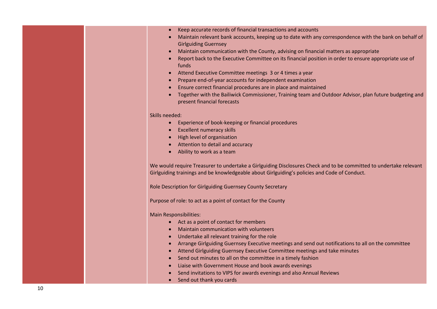- Keep accurate records of financial transactions and accounts
- Maintain relevant bank accounts, keeping up to date with any correspondence with the bank on behalf of Girlguiding Guernsey
- Maintain communication with the County, advising on financial matters as appropriate
- Report back to the Executive Committee on its financial position in order to ensure appropriate use of funds
- Attend Executive Committee meetings 3 or 4 times a year
- Prepare end-of-year accounts for independent examination
- Ensure correct financial procedures are in place and maintained
- Together with the Bailiwick Commissioner, Training team and Outdoor Advisor, plan future budgeting and present financial forecasts

#### Skills needed:

- Experience of book-keeping or financial procedures
- Excellent numeracy skills
- High level of organisation
- Attention to detail and accuracy
- Ability to work as a team

We would require Treasurer to undertake a Girlguiding Disclosures Check and to be committed to undertake relevant Girlguiding trainings and be knowledgeable about Girlguiding's policies and Code of Conduct.

Role Description for Girlguiding Guernsey County Secretary

Purpose of role: to act as a point of contact for the County

Main Responsibilities:

- Act as a point of contact for members
- Maintain communication with volunteers
- Undertake all relevant training for the role
- Arrange Girlguiding Guernsey Executive meetings and send out notifications to all on the committee
- Attend Girlguiding Guernsey Executive Committee meetings and take minutes
- Send out minutes to all on the committee in a timely fashion
- Liaise with Government House and book awards evenings
- Send invitations to VIPS for awards evenings and also Annual Reviews
- Send out thank you cards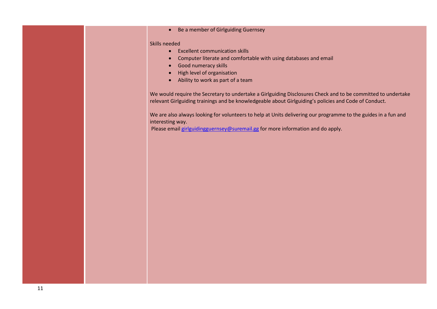• Be a member of Girlguiding Guernsey

#### Skills needed

- Excellent communication skills
- Computer literate and comfortable with using databases and email
- Good numeracy skills
- High level of organisation
- Ability to work as part of a team

We would require the Secretary to undertake a Girlguiding Disclosures Check and to be committed to undertake relevant Girlguiding trainings and be knowledgeable about Girlguiding's policies and Code of Conduct.

We are also always looking for volunteers to help at Units delivering our programme to the guides in a fun and interesting way.

Please emai[l girlguidingguernsey@suremail.gg](mailto:girlguidingguernsey@suremail.gg) for more information and do apply.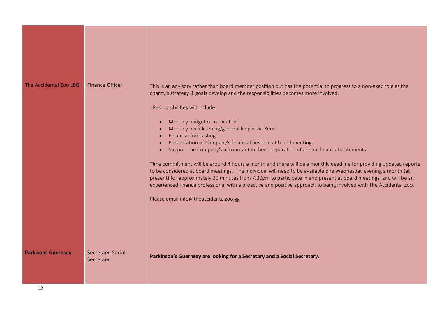| The Accidental Zoo LBG    | <b>Finance Officer</b>         | This is an advisory rather than board member position but has the potential to progress to a non-exec role as the<br>charity's strategy & goals develop and the responsibilities becomes more involved.<br>Responsibilities will include:<br>Monthly budget consolidation<br>Monthly book keeping/general ledger via Xero<br><b>Financial forecasting</b><br>$\bullet$<br>Presentation of Company's financial position at board meetings<br>$\bullet$<br>Support the Company's accountant in their preparation of annual financial statements<br>$\bullet$<br>Time commitment will be around 4 hours a month and there will be a monthly deadline for providing updated reports<br>to be considered at board meetings. The individual will need to be available one Wednesday evening a month (at<br>present) for approximately 30 minutes from 7.30pm to participate in and present at board meetings, and will be an<br>experienced finance professional with a proactive and positive approach to being involved with The Accidental Zoo.<br>Please email info@theaccidentalzoo.gg |
|---------------------------|--------------------------------|---------------------------------------------------------------------------------------------------------------------------------------------------------------------------------------------------------------------------------------------------------------------------------------------------------------------------------------------------------------------------------------------------------------------------------------------------------------------------------------------------------------------------------------------------------------------------------------------------------------------------------------------------------------------------------------------------------------------------------------------------------------------------------------------------------------------------------------------------------------------------------------------------------------------------------------------------------------------------------------------------------------------------------------------------------------------------------------|
| <b>Parkisons Guernsey</b> | Secretary, Social<br>Secretary | Parkinson's Guernsey are looking for a Secretary and a Social Secretary.                                                                                                                                                                                                                                                                                                                                                                                                                                                                                                                                                                                                                                                                                                                                                                                                                                                                                                                                                                                                              |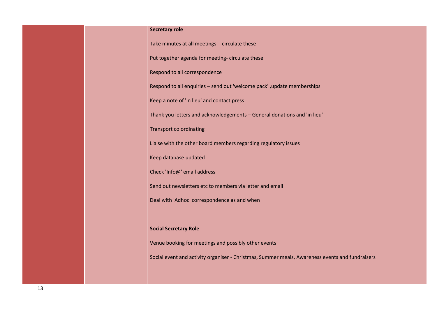# **Secretary role**

Take minutes at all meetings - circulate these

Put together agenda for meeting- circulate these

Respond to all correspondence

Respond to all enquiries – send out 'welcome pack' ,update memberships

Keep a note of 'In lieu' and contact press

Thank you letters and acknowledgements – General donations and 'in lieu'

Transport co ordinating

Liaise with the other board members regarding regulatory issues

Keep database updated

Check 'Info@' email address

Send out newsletters etc to members via letter and email

Deal with 'Adhoc' correspondence as and when

## **Social Secretary Role**

Venue booking for meetings and possibly other events

Social event and activity organiser - Christmas, Summer meals, Awareness events and fundraisers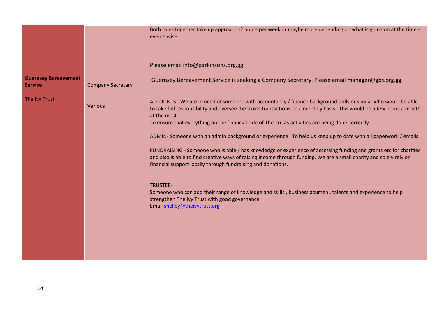|                                               |                          | Both roles together take up approx 1-2 hours per week or maybe more depending on what is going on at the time -<br>events wise.                                                                                                                                                                                                                                                                                                                                                                                                                                                                                                                                                                                                                                                                                                                                                                                                                                                                             |
|-----------------------------------------------|--------------------------|-------------------------------------------------------------------------------------------------------------------------------------------------------------------------------------------------------------------------------------------------------------------------------------------------------------------------------------------------------------------------------------------------------------------------------------------------------------------------------------------------------------------------------------------------------------------------------------------------------------------------------------------------------------------------------------------------------------------------------------------------------------------------------------------------------------------------------------------------------------------------------------------------------------------------------------------------------------------------------------------------------------|
|                                               |                          | Please email info@parkinsons.org.gg                                                                                                                                                                                                                                                                                                                                                                                                                                                                                                                                                                                                                                                                                                                                                                                                                                                                                                                                                                         |
| <b>Guernsey Bereavement</b><br><b>Service</b> | <b>Company Secretary</b> | Guernsey Bereavement Service is seeking a Company Secretary. Please email manager@gbs.org.gg                                                                                                                                                                                                                                                                                                                                                                                                                                                                                                                                                                                                                                                                                                                                                                                                                                                                                                                |
| The Ivy Trust                                 | <b>Various</b>           | ACCOUNTS - We are in need of someone with accountancy / finance background skills or similar who would be able<br>to take full responsibility and oversee the trusts transactions on a monthly basis. This would be a few hours a month<br>at the most.<br>To ensure that everything on the financial side of The Trusts activities are being done correctly.<br>ADMIN-Someone with an admin background or experience. To help us keep up to date with all paperwork / emails<br>FUNDRAISING - Someone who is able / has knowledge or experience of accessing funding and grants etc for charities<br>and also is able to find creative ways of raising income through funding. We are a small charity and solely rely on<br>financial support locally through fundraising and donations.<br><b>TRUSTEE-</b><br>Someone who can add their range of knowledge and skills, business acumen, talents and experience to help<br>strengthen The Ivy Trust with good governance.<br>Email shelley@theivytrust.org |
|                                               |                          |                                                                                                                                                                                                                                                                                                                                                                                                                                                                                                                                                                                                                                                                                                                                                                                                                                                                                                                                                                                                             |